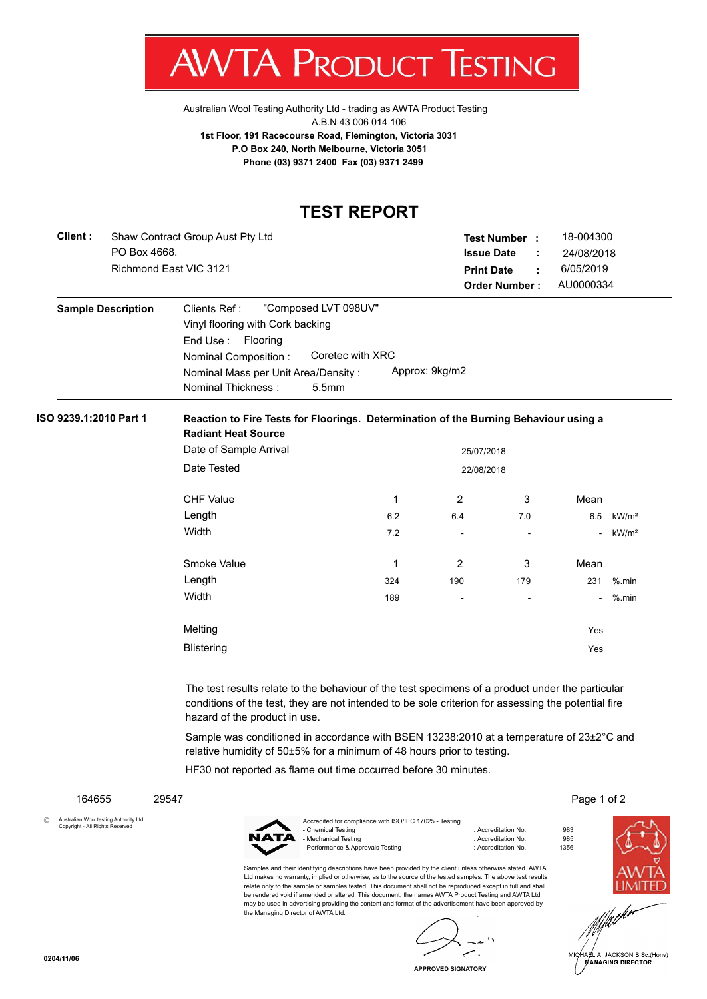

[Australian Wool Testing Authority Ltd - trading as AWTA Product Testing](http://www.awtaproducttesting.com.au/) A.B.N 43 006 014 106 **1st Floor, 191 Racecourse Road, Flemington, Victoria 3031 P.O Box 240, North Melbourne, Victoria 3051 Phone (03) 9371 2400 Fax (03) 9371 2499**

## **TEST REPORT**

| Shaw Contract Group Aust Pty Ltd |                   |    | 18-004300                                   |
|----------------------------------|-------------------|----|---------------------------------------------|
| PO Box 4668.                     | <b>Issue Date</b> | п. | 24/08/2018                                  |
| Richmond East VIC 3121           | <b>Print Date</b> | ÷. | 6/05/2019                                   |
|                                  |                   |    | AU0000334                                   |
|                                  |                   |    | <b>Test Number:</b><br><b>Order Number:</b> |

| <b>Sample Description</b> | "Composed LVT 098UV"<br>Clients Ref :                 |  |  |
|---------------------------|-------------------------------------------------------|--|--|
|                           | Vinyl flooring with Cork backing                      |  |  |
|                           | End Use: Flooring                                     |  |  |
|                           | Coretec with XRC<br>Nominal Composition:              |  |  |
|                           | Approx: 9kg/m2<br>Nominal Mass per Unit Area/Density: |  |  |
|                           | Nominal Thickness:<br>5.5 <sub>mm</sub>               |  |  |

## **ISO 9239.1:2010 Part 1 Reaction to Fire Tests for Floorings. Determination of the Burning Behaviour using a Radiant Heat Source**

| Date of Sample Arrival |            | 25/07/2018               |                          |        |                   |
|------------------------|------------|--------------------------|--------------------------|--------|-------------------|
| Date Tested            | 22/08/2018 |                          |                          |        |                   |
| <b>CHF Value</b>       | 1          | $\overline{2}$           | 3                        | Mean   |                   |
| Length                 | 6.2        | 6.4                      | 7.0                      | 6.5    | kW/m <sup>2</sup> |
| Width                  | 7.2        | $\overline{a}$           | -                        | ۰.     | kW/m <sup>2</sup> |
| Smoke Value            | 1          | $\overline{2}$           | 3                        | Mean   |                   |
| Length                 | 324        | 190                      | 179                      | 231    | $%$ .min          |
| Width                  | 189        | $\overline{\phantom{a}}$ | $\overline{\phantom{a}}$ | $\sim$ | $%$ .min          |
| Melting                |            |                          |                          | Yes    |                   |
| <b>Blistering</b>      |            |                          |                          | Yes    |                   |

The test results relate to the behaviour of the test specimens of a product under the particular conditions of the test, they are not intended to be sole criterion for assessing the potential fire hazard of the product in use.

Sample was conditioned in accordance with BSEN 13238:2010 at a temperature of 23±2°C and relative humidity of 50±5% for a minimum of 48 hours prior to testing.

HF30 not reported as flame out time occurred before 30 minutes.

| 164655                                                                   | 29547 |                                    |                                                                                                                                                                                                                                                                                                                                                                                                                                                                                                                                                         |                                                                   |                    | Page 1 of 2 |
|--------------------------------------------------------------------------|-------|------------------------------------|---------------------------------------------------------------------------------------------------------------------------------------------------------------------------------------------------------------------------------------------------------------------------------------------------------------------------------------------------------------------------------------------------------------------------------------------------------------------------------------------------------------------------------------------------------|-------------------------------------------------------------------|--------------------|-------------|
| Australian Wool testing Authority Ltd<br>Copyright - All Rights Reserved |       | NATA                               | Accredited for compliance with ISO/IEC 17025 - Testing<br>- Chemical Testing<br>- Mechanical Testing<br>- Performance & Approvals Testing                                                                                                                                                                                                                                                                                                                                                                                                               | : Accreditation No.<br>: Accreditation No.<br>: Accreditation No. | 983<br>985<br>1356 |             |
|                                                                          |       | the Managing Director of AWTA Ltd. | Samples and their identifying descriptions have been provided by the client unless otherwise stated. AWTA<br>Ltd makes no warranty, implied or otherwise, as to the source of the tested samples. The above test results<br>relate only to the sample or samples tested. This document shall not be reproduced except in full and shall<br>be rendered void if amended or altered. This document, the names AWTA Product Testing and AWTA Ltd<br>may be used in advertising providing the content and format of the advertisement have been approved by |                                                                   |                    | MCMA        |